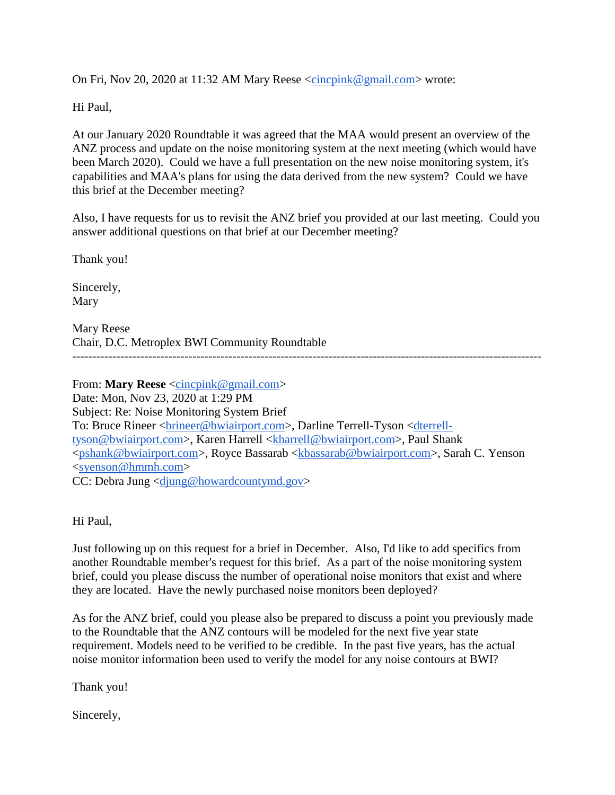On Fri, Nov 20, 2020 at 11:32 AM Mary Reese  $\langle$ cincpink@gmail.com> wrote:

Hi Paul,

At our January 2020 Roundtable it was agreed that the MAA would present an overview of the ANZ process and update on the noise monitoring system at the next meeting (which would have been March 2020). Could we have a full presentation on the new noise monitoring system, it's capabilities and MAA's plans for using the data derived from the new system? Could we have this brief at the December meeting?

Also, I have requests for us to revisit the ANZ brief you provided at our last meeting. Could you answer additional questions on that brief at our December meeting?

Thank you!

Sincerely, Mary

Mary Reese Chair, D.C. Metroplex BWI Community Roundtable

From: **Mary Reese** [<cincpink@gmail.com>](mailto:cincpink@gmail.com) Date: Mon, Nov 23, 2020 at 1:29 PM Subject: Re: Noise Monitoring System Brief To: Bruce Rineer [<brineer@bwiairport.com>](mailto:brineer@bwiairport.com), Darline Terrell-Tyson [<dterrell](mailto:dterrell-tyson@bwiairport.com)[tyson@bwiairport.com>](mailto:dterrell-tyson@bwiairport.com), Karen Harrell [<kharrell@bwiairport.com>](mailto:kharrell@bwiairport.com), Paul Shank [<pshank@bwiairport.com>](mailto:pshank@bwiairport.com), Royce Bassarab [<kbassarab@bwiairport.com>](mailto:kbassarab@bwiairport.com), Sarah C. Yenson  $<$ syenson@hmmh.com> CC: Debra Jung [<djung@howardcountymd.gov>](mailto:djung@howardcountymd.gov)

Hi Paul,

Just following up on this request for a brief in December. Also, I'd like to add specifics from another Roundtable member's request for this brief. As a part of the noise monitoring system brief, could you please discuss the number of operational noise monitors that exist and where they are located. Have the newly purchased noise monitors been deployed?

As for the ANZ brief, could you please also be prepared to discuss a point you previously made to the Roundtable that the ANZ contours will be modeled for the next five year state requirement. Models need to be verified to be credible. In the past five years, has the actual noise monitor information been used to verify the model for any noise contours at BWI?

Thank you!

Sincerely,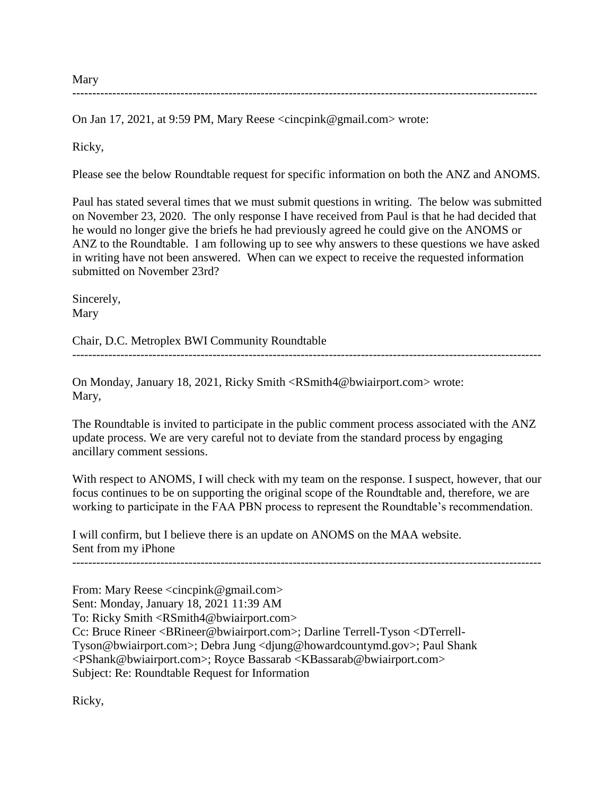Mary --------------------------------------------------------------------------------------------------------------------

On Jan 17, 2021, at 9:59 PM, Mary Reese [<cincpink@gmail.com>](mailto:cincpink@gmail.com) wrote:

Ricky,

Please see the below Roundtable request for specific information on both the ANZ and ANOMS.

Paul has stated several times that we must submit questions in writing. The below was submitted on November 23, 2020. The only response I have received from Paul is that he had decided that he would no longer give the briefs he had previously agreed he could give on the ANOMS or ANZ to the Roundtable. I am following up to see why answers to these questions we have asked in writing have not been answered. When can we expect to receive the requested information submitted on November 23rd?

Sincerely, Mary

Chair, D.C. Metroplex BWI Community Roundtable

On Monday, January 18, 2021, Ricky Smith [<RSmith4@bwiairport.com>](mailto:RSmith4@bwiairport.com) wrote: Mary,

The Roundtable is invited to participate in the public comment process associated with the ANZ update process. We are very careful not to deviate from the standard process by engaging ancillary comment sessions.

---------------------------------------------------------------------------------------------------------------------

With respect to ANOMS, I will check with my team on the response. I suspect, however, that our focus continues to be on supporting the original scope of the Roundtable and, therefore, we are working to participate in the FAA PBN process to represent the Roundtable's recommendation.

---------------------------------------------------------------------------------------------------------------------

I will confirm, but I believe there is an update on ANOMS on the MAA website. Sent from my iPhone

From: Mary Reese [<cincpink@gmail.com>](mailto:cincpink@gmail.com) Sent: Monday, January 18, 2021 11:39 AM To: Ricky Smith [<RSmith4@bwiairport.com>](mailto:RSmith4@bwiairport.com) Cc: Bruce Rineer [<BRineer@bwiairport.com>](mailto:BRineer@bwiairport.com); Darline Terrell-Tyson [<DTerrell-](mailto:DTerrell-Tyson@bwiairport.com)[Tyson@bwiairport.com>](mailto:DTerrell-Tyson@bwiairport.com); Debra Jung [<djung@howardcountymd.gov>](mailto:djung@howardcountymd.gov); Paul Shank [<PShank@bwiairport.com>](mailto:PShank@bwiairport.com); Royce Bassarab [<KBassarab@bwiairport.com>](mailto:KBassarab@bwiairport.com) Subject: Re: Roundtable Request for Information

Ricky,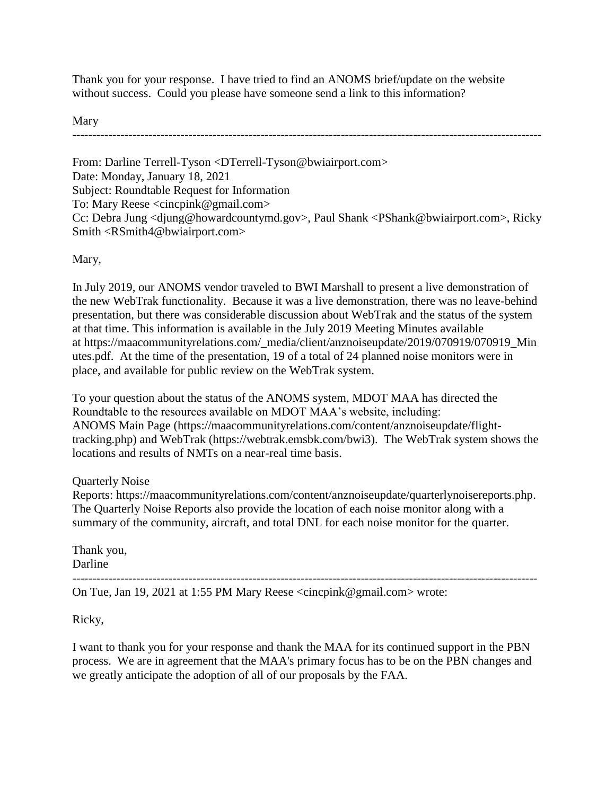Thank you for your response. I have tried to find an ANOMS brief/update on the website without success. Could you please have someone send a link to this information?

Mary

---------------------------------------------------------------------------------------------------------------------

From: Darline Terrell-Tyson [<DTerrell-Tyson@bwiairport.com>](mailto:DTerrell-Tyson@bwiairport.com) Date: Monday, January 18, 2021 Subject: Roundtable Request for Information To: Mary Reese [<cincpink@gmail.com>](mailto:cincpink@gmail.com) Cc: Debra Jung [<djung@howardcountymd.gov>](mailto:djung@howardcountymd.gov), Paul Shank [<PShank@bwiairport.com>](mailto:PShank@bwiairport.com), Ricky Smith [<RSmith4@bwiairport.com>](mailto:RSmith4@bwiairport.com)

Mary,

In July 2019, our ANOMS vendor traveled to BWI Marshall to present a live demonstration of the new WebTrak functionality. Because it was a live demonstration, there was no leave-behind presentation, but there was considerable discussion about WebTrak and the status of the system at that time. This information is available in the July 2019 Meeting Minutes available at [https://maacommunityrelations.com/\\_media/client/anznoiseupdate/2019/070919/070919\\_Min](https://maacommunityrelations.com/_media/client/anznoiseupdate/2019/070919/070919_Minutes.pdf) [utes.pdf.](https://maacommunityrelations.com/_media/client/anznoiseupdate/2019/070919/070919_Minutes.pdf) At the time of the presentation, 19 of a total of 24 planned noise monitors were in place, and available for public review on the WebTrak system.

To your question about the status of the ANOMS system, MDOT MAA has directed the Roundtable to the resources available on MDOT MAA's website, including: ANOMS Main Page [\(https://maacommunityrelations.com/content/anznoiseupdate/flight](https://maacommunityrelations.com/content/anznoiseupdate/flight-tracking.php)[tracking.php\)](https://maacommunityrelations.com/content/anznoiseupdate/flight-tracking.php) and WebTrak [\(https://webtrak.emsbk.com/bwi3\)](https://webtrak.emsbk.com/bwi3). The WebTrak system shows the locations and results of NMTs on a near-real time basis.

Quarterly Noise

Reports: [https://maacommunityrelations.com/content/anznoiseupdate/quarterlynoisereports.php.](https://maacommunityrelations.com/content/anznoiseupdate/quarterlynoisereports.php) The Quarterly Noise Reports also provide the location of each noise monitor along with a summary of the community, aircraft, and total DNL for each noise monitor for the quarter.

Thank you, Darline

-------------------------------------------------------------------------------------------------------------------- On Tue, Jan 19, 2021 at 1:55 PM Mary Reese <cincpink@gmail.com> wrote:

Ricky,

I want to thank you for your response and thank the MAA for its continued support in the PBN process. We are in agreement that the MAA's primary focus has to be on the PBN changes and we greatly anticipate the adoption of all of our proposals by the FAA.